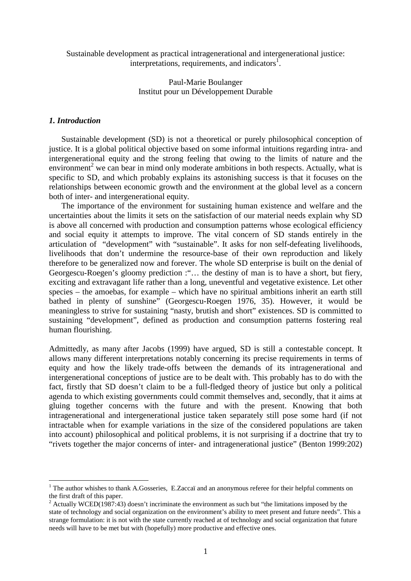Sustainable development as practical intragenerational and intergenerational justice: interpretations, requirements, and indicators $1$ .

> Paul-Marie Boulanger Institut pour un Développement Durable

#### *1. Introduction*

 $\overline{a}$ 

Sustainable development (SD) is not a theoretical or purely philosophical conception of justice. It is a global political objective based on some informal intuitions regarding intra- and intergenerational equity and the strong feeling that owing to the limits of nature and the environment<sup>2</sup> we can bear in mind only moderate ambitions in both respects. Actually, what is specific to SD, and which probably explains its astonishing success is that it focuses on the relationships between economic growth and the environment at the global level as a concern both of inter- and intergenerational equity.

The importance of the environment for sustaining human existence and welfare and the uncertainties about the limits it sets on the satisfaction of our material needs explain why SD is above all concerned with production and consumption patterns whose ecological efficiency and social equity it attempts to improve. The vital concern of SD stands entirely in the articulation of "development" with "sustainable". It asks for non self-defeating livelihoods, livelihoods that don't undermine the resource-base of their own reproduction and likely therefore to be generalized now and forever. The whole SD enterprise is built on the denial of Georgescu-Roegen's gloomy prediction :"… the destiny of man is to have a short, but fiery, exciting and extravagant life rather than a long, uneventful and vegetative existence. Let other species – the amoebas, for example – which have no spiritual ambitions inherit an earth still bathed in plenty of sunshine" (Georgescu-Roegen 1976, 35). However, it would be meaningless to strive for sustaining "nasty, brutish and short" existences. SD is committed to sustaining "development", defined as production and consumption patterns fostering real human flourishing.

Admittedly, as many after Jacobs (1999) have argued, SD is still a contestable concept. It allows many different interpretations notably concerning its precise requirements in terms of equity and how the likely trade-offs between the demands of its intragenerational and intergenerational conceptions of justice are to be dealt with. This probably has to do with the fact, firstly that SD doesn't claim to be a full-fledged theory of justice but only a political agenda to which existing governments could commit themselves and, secondly, that it aims at gluing together concerns with the future and with the present. Knowing that both intragenerational and intergenerational justice taken separately still pose some hard (if not intractable when for example variations in the size of the considered populations are taken into account) philosophical and political problems, it is not surprising if a doctrine that try to "rivets together the major concerns of inter- and intragenerational justice" (Benton 1999:202)

<sup>&</sup>lt;sup>1</sup> The author whishes to thank A.Gosseries, E.Zaccaï and an anonymous referee for their helpful comments on the first draft of this paper.

<sup>&</sup>lt;sup>2</sup> Actually WCED(1987:43) doesn't incriminate the environment as such but "the limitations imposed by the state of technology and social organization on the environment's ability to meet present and future needs". This a strange formulation: it is not with the state currently reached at of technology and social organization that future needs will have to be met but with (hopefully) more productive and effective ones.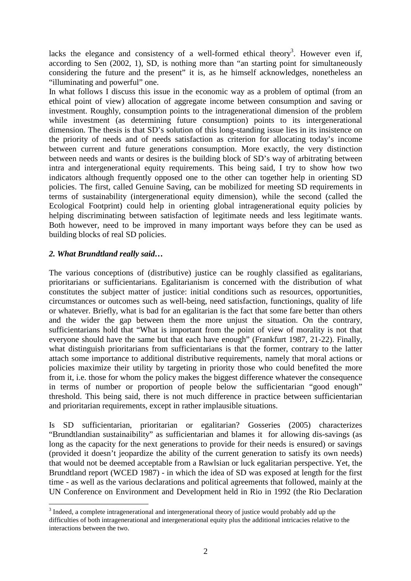lacks the elegance and consistency of a well-formed ethical theory<sup>3</sup>. However even if, according to Sen (2002, 1), SD, is nothing more than "an starting point for simultaneously considering the future and the present" it is, as he himself acknowledges, nonetheless an "illuminating and powerful" one.

In what follows I discuss this issue in the economic way as a problem of optimal (from an ethical point of view) allocation of aggregate income between consumption and saving or investment. Roughly, consumption points to the intragenerational dimension of the problem while investment (as determining future consumption) points to its intergenerational dimension. The thesis is that SD's solution of this long-standing issue lies in its insistence on the priority of needs and of needs satisfaction as criterion for allocating today's income between current and future generations consumption. More exactly, the very distinction between needs and wants or desires is the building block of SD's way of arbitrating between intra and intergenerational equity requirements. This being said, I try to show how two indicators although frequently opposed one to the other can together help in orienting SD policies. The first, called Genuine Saving, can be mobilized for meeting SD requirements in terms of sustainability (intergenerational equity dimension), while the second (called the Ecological Footprint) could help in orienting global intragenerational equity policies by helping discriminating between satisfaction of legitimate needs and less legitimate wants. Both however, need to be improved in many important ways before they can be used as building blocks of real SD policies.

## *2. What Brundtland really said…*

The various conceptions of (distributive) justice can be roughly classified as egalitarians, prioritarians or sufficientarians. Egalitarianism is concerned with the distribution of what constitutes the subject matter of justice: initial conditions such as resources, opportunities, circumstances or outcomes such as well-being, need satisfaction, functionings, quality of life or whatever. Briefly, what is bad for an egalitarian is the fact that some fare better than others and the wider the gap between them the more unjust the situation. On the contrary, sufficientarians hold that "What is important from the point of view of morality is not that everyone should have the same but that each have enough" (Frankfurt 1987, 21-22). Finally, what distinguish prioritarians from sufficientarians is that the former, contrary to the latter attach some importance to additional distributive requirements, namely that moral actions or policies maximize their utility by targeting in priority those who could benefited the more from it, i.e. those for whom the policy makes the biggest difference whatever the consequence in terms of number or proportion of people below the sufficientarian "good enough" threshold. This being said, there is not much difference in practice between sufficientarian and prioritarian requirements, except in rather implausible situations.

Is SD sufficientarian, prioritarian or egalitarian? Gosseries (2005) characterizes "Brundtlandian sustainaibility" as sufficientarian and blames it for allowing dis-savings (as long as the capacity for the next generations to provide for their needs is ensured) or savings (provided it doesn't jeopardize the ability of the current generation to satisfy its own needs) that would not be deemed acceptable from a Rawlsian or luck egalitarian perspective. Yet, the Brundtland report (WCED 1987) - in which the idea of SD was exposed at length for the first time - as well as the various declarations and political agreements that followed, mainly at the UN Conference on Environment and Development held in Rio in 1992 (the Rio Declaration

 $\overline{a}$  $3$  Indeed, a complete intragenerational and intergenerational theory of justice would probably add up the difficulties of both intragenerational and intergenerational equity plus the additional intricacies relative to the interactions between the two.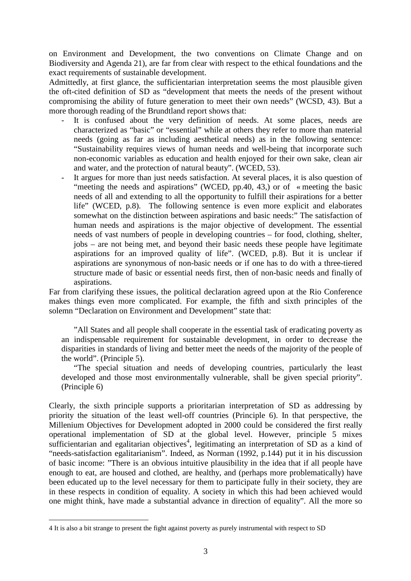on Environment and Development, the two conventions on Climate Change and on Biodiversity and Agenda 21), are far from clear with respect to the ethical foundations and the exact requirements of sustainable development.

Admittedly, at first glance, the sufficientarian interpretation seems the most plausible given the oft-cited definition of SD as "development that meets the needs of the present without compromising the ability of future generation to meet their own needs" (WCSD, 43). But a more thorough reading of the Brundtland report shows that:

- It is confused about the very definition of needs. At some places, needs are characterized as "basic" or "essential" while at others they refer to more than material needs (going as far as including aesthetical needs) as in the following sentence: "Sustainability requires views of human needs and well-being that incorporate such non-economic variables as education and health enjoyed for their own sake, clean air and water, and the protection of natural beauty". (WCED, 53).
- It argues for more than just needs satisfaction. At several places, it is also question of "meeting the needs and aspirations" (WCED, pp.40, 43,) or of « meeting the basic needs of all and extending to all the opportunity to fulfill their aspirations for a better life" (WCED, p.8). The following sentence is even more explicit and elaborates somewhat on the distinction between aspirations and basic needs:" The satisfaction of human needs and aspirations is the major objective of development. The essential needs of vast numbers of people in developing countries – for food, clothing, shelter, jobs – are not being met, and beyond their basic needs these people have legitimate aspirations for an improved quality of life". (WCED, p.8). But it is unclear if aspirations are synonymous of non-basic needs or if one has to do with a three-tiered structure made of basic or essential needs first, then of non-basic needs and finally of aspirations.

Far from clarifying these issues, the political declaration agreed upon at the Rio Conference makes things even more complicated. For example, the fifth and sixth principles of the solemn "Declaration on Environment and Development" state that:

"All States and all people shall cooperate in the essential task of eradicating poverty as an indispensable requirement for sustainable development, in order to decrease the disparities in standards of living and better meet the needs of the majority of the people of the world". (Principle 5).

"The special situation and needs of developing countries, particularly the least developed and those most environmentally vulnerable, shall be given special priority". (Principle 6)

Clearly, the sixth principle supports a prioritarian interpretation of SD as addressing by priority the situation of the least well-off countries (Principle 6). In that perspective, the Millenium Objectives for Development adopted in 2000 could be considered the first really operational implementation of SD at the global level. However, principle 5 mixes sufficientarian and egalitarian objectives<sup>4</sup>, legitimating an interpretation of SD as a kind of "needs-satisfaction egalitarianism". Indeed, as Norman (1992, p.144) put it in his discussion of basic income: "There is an obvious intuitive plausibility in the idea that if all people have enough to eat, are housed and clothed, are healthy, and (perhaps more problematically) have been educated up to the level necessary for them to participate fully in their society, they are in these respects in condition of equality. A society in which this had been achieved would one might think, have made a substantial advance in direction of equality". All the more so

<sup>4</sup> It is also a bit strange to present the fight against poverty as purely instrumental with respect to SD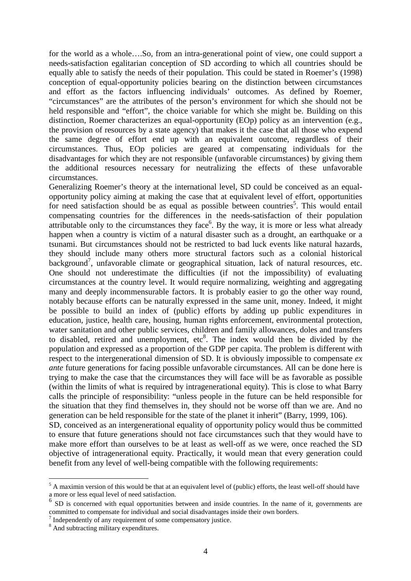for the world as a whole….So, from an intra-generational point of view, one could support a needs-satisfaction egalitarian conception of SD according to which all countries should be equally able to satisfy the needs of their population. This could be stated in Roemer's (1998) conception of equal-opportunity policies bearing on the distinction between circumstances and effort as the factors influencing individuals' outcomes. As defined by Roemer, "circumstances" are the attributes of the person's environment for which she should not be held responsible and "effort", the choice variable for which she might be. Building on this distinction, Roemer characterizes an equal-opportunity (EOp) policy as an intervention (e.g., the provision of resources by a state agency) that makes it the case that all those who expend the same degree of effort end up with an equivalent outcome, regardless of their circumstances. Thus, EOp policies are geared at compensating individuals for the disadvantages for which they are not responsible (unfavorable circumstances) by giving them the additional resources necessary for neutralizing the effects of these unfavorable circumstances.

Generalizing Roemer's theory at the international level, SD could be conceived as an equalopportunity policy aiming at making the case that at equivalent level of effort, opportunities for need satisfaction should be as equal as possible between countries<sup>5</sup>. This would entail compensating countries for the differences in the needs-satisfaction of their population attributable only to the circumstances they face<sup>6</sup>. By the way, it is more or less what already happen when a country is victim of a natural disaster such as a drought, an earthquake or a tsunami. But circumstances should not be restricted to bad luck events like natural hazards, they should include many others more structural factors such as a colonial historical background<sup>7</sup>, unfavorable climate or geographical situation, lack of natural resources, etc. One should not underestimate the difficulties (if not the impossibility) of evaluating circumstances at the country level. It would require normalizing, weighting and aggregating many and deeply incommensurable factors. It is probably easier to go the other way round, notably because efforts can be naturally expressed in the same unit, money. Indeed, it might be possible to build an index of (public) efforts by adding up public expenditures in education, justice, health care, housing, human rights enforcement, environmental protection, water sanitation and other public services, children and family allowances, doles and transfers to disabled, retired and unemployment, etc<sup>8</sup>. The index would then be divided by the population and expressed as a proportion of the GDP per capita. The problem is different with respect to the intergenerational dimension of SD. It is obviously impossible to compensate *ex ante* future generations for facing possible unfavorable circumstances. All can be done here is trying to make the case that the circumstances they will face will be as favorable as possible (within the limits of what is required by intragenerational equity). This is close to what Barry calls the principle of responsibility: "unless people in the future can be held responsible for the situation that they find themselves in, they should not be worse off than we are. And no generation can be held responsible for the state of the planet it inherit" (Barry, 1999, 106). SD, conceived as an intergenerational equality of opportunity policy would thus be committed

to ensure that future generations should not face circumstances such that they would have to make more effort than ourselves to be at least as well-off as we were, once reached the SD objective of intragenerational equity. Practically, it would mean that every generation could benefit from any level of well-being compatible with the following requirements:

 $<sup>5</sup>$  A maximin version of this would be that at an equivalent level of (public) efforts, the least well-off should have</sup> a more or less equal level of need satisfaction.

<sup>&</sup>lt;sup>6</sup> SD is concerned with equal opportunities between and inside countries. In the name of it, governments are committed to compensate for individual and social disadvantages inside their own borders.

<sup>&</sup>lt;sup>7</sup> Independently of any requirement of some compensatory justice.

<sup>&</sup>lt;sup>8</sup> And subtracting military expenditures.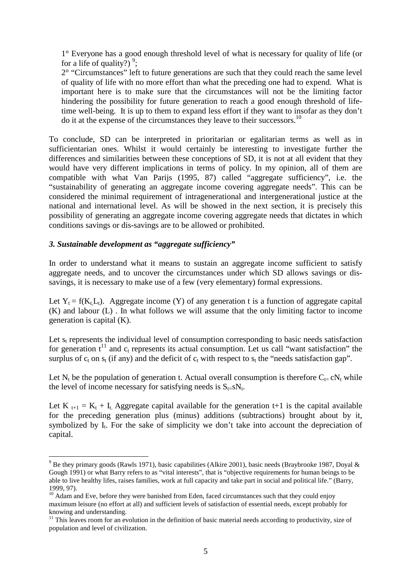1° Everyone has a good enough threshold level of what is necessary for quality of life (or for a life of quality?)  $9$ ;

2° "Circumstances" left to future generations are such that they could reach the same level of quality of life with no more effort than what the preceding one had to expend. What is important here is to make sure that the circumstances will not be the limiting factor hindering the possibility for future generation to reach a good enough threshold of lifetime well-being. It is up to them to expand less effort if they want to insofar as they don't do it at the expense of the circumstances they leave to their successors.<sup>10</sup>

To conclude, SD can be interpreted in prioritarian or egalitarian terms as well as in sufficientarian ones. Whilst it would certainly be interesting to investigate further the differences and similarities between these conceptions of SD, it is not at all evident that they would have very different implications in terms of policy. In my opinion, all of them are compatible with what Van Parijs (1995, 87) called "aggregate sufficiency", i.e. the "sustainability of generating an aggregate income covering aggregate needs". This can be considered the minimal requirement of intragenerational and intergenerational justice at the national and international level. As will be showed in the next section, it is precisely this possibility of generating an aggregate income covering aggregate needs that dictates in which conditions savings or dis-savings are to be allowed or prohibited.

# *3. Sustainable development as "aggregate sufficiency"*

 $\overline{a}$ 

In order to understand what it means to sustain an aggregate income sufficient to satisfy aggregate needs, and to uncover the circumstances under which SD allows savings or dissavings, it is necessary to make use of a few (very elementary) formal expressions.

Let  $Y_t = f(K_t L_t)$ . Aggregate income (Y) of any generation t is a function of aggregate capital (K) and labour (L) . In what follows we will assume that the only limiting factor to income generation is capital (K).

Let  $s_t$  represents the individual level of consumption corresponding to basic needs satisfaction for generation  $t^{11}$  and  $c_t$  represents its actual consumption. Let us call "want satisfaction" the surplus of  $c_t$  on  $s_t$  (if any) and the deficit of  $c_t$  with respect to  $s_t$  the "needs satisfaction gap".

Let  $N_t$  be the population of generation t. Actual overall consumption is therefore  $C_t$ = c $N_t$  while the level of income necessary for satisfying needs is  $S_{t=5}N_t$ .

Let  $K_{t+1} = K_t + I_t$ . Aggregate capital available for the generation t+1 is the capital available for the preceding generation plus (minus) additions (subtractions) brought about by it, symbolized by  $I_t$ . For the sake of simplicity we don't take into account the depreciation of capital.

 $9^9$  Be they primary goods (Rawls 1971), basic capabilities (Alkire 2001), basic needs (Braybrooke 1987, Doyal & Gough 1991) or what Barry refers to as "vital interests", that is "objective requirements for human beings to be able to live healthy lifes, raises families, work at full capacity and take part in social and political life." (Barry, 1999, 97).

 $\frac{10}{10}$  Adam and Eve, before they were banished from Eden, faced circumstances such that they could enjoy maximum leisure (no effort at all) and sufficient levels of satisfaction of essential needs, except probably for knowing and understanding.

<sup>&</sup>lt;sup>11</sup> This leaves room for an evolution in the definition of basic material needs according to productivity, size of population and level of civilization.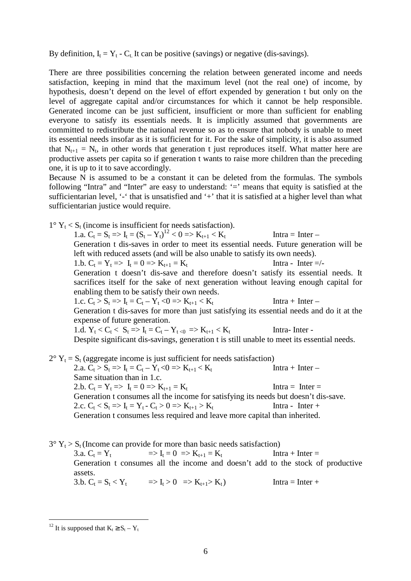By definition,  $I_t = Y_t - C_t$ . It can be positive (savings) or negative (dis-savings).

There are three possibilities concerning the relation between generated income and needs satisfaction, keeping in mind that the maximum level (not the real one) of income, by hypothesis, doesn't depend on the level of effort expended by generation t but only on the level of aggregate capital and/or circumstances for which it cannot be help responsible. Generated income can be just sufficient, insufficient or more than sufficient for enabling everyone to satisfy its essentials needs. It is implicitly assumed that governments are committed to redistribute the national revenue so as to ensure that nobody is unable to meet its essential needs insofar as it is sufficient for it. For the sake of simplicity, it is also assumed that  $N_{t+1} = N_t$ , in other words that generation t just reproduces itself. What matter here are productive assets per capita so if generation t wants to raise more children than the preceding one, it is up to it to save accordingly.

Because N is assumed to be a constant it can be deleted from the formulas. The symbols following "Intra" and "Inter" are easy to understand: '=' means that equity is satisfied at the sufficientarian level, '-' that is unsatisfied and '+' that it is satisfied at a higher level than what sufficientarian justice would require.

 $1^\circ Y_t < S_t$  (income is insufficient for needs satisfaction).

1.a.  $C_t = S_t \Rightarrow I_t = (S_t - Y_t)^{12} < 0 \Rightarrow K_{t+1} < K_t$  $Intra = Inter -$ Generation t dis-saves in order to meet its essential needs. Future generation will be left with reduced assets (and will be also unable to satisfy its own needs). 1.b.  $C_t = Y_t \Rightarrow I_t = 0 \Rightarrow K_{t+1} = K_t$  Intra - Inter =/- Generation t doesn't dis-save and therefore doesn't satisfy its essential needs. It sacrifices itself for the sake of next generation without leaving enough capital for enabling them to be satisfy their own needs. 1.c.  $C_t > S_t \Rightarrow I_t = C_t - Y_t \leq 0 \Rightarrow K_{t+1} < K_t$  Intra + Inter – Generation t dis-saves for more than just satisfying its essential needs and do it at the expense of future generation. 1.d.  $Y_t < C_t < S_t \Rightarrow I_t = C_t - Y_{t<0} \Rightarrow K_{t+1} < K_t$  Intra-Inter-Despite significant dis-savings, generation t is still unable to meet its essential needs.  $2^{\circ}$  Y<sub>t</sub> = S<sub>t</sub> (aggregate income is just sufficient for needs satisfaction) 2.a.  $C_t > S_t \Rightarrow I_t = C_t - Y_t \leq 0 \Rightarrow K_{t+1} < K_t$ Intra  $+$  Inter  $-$ Same situation than in 1.c. 2.b.  $C_t = Y_t \Rightarrow I_t = 0 \Rightarrow K_{t+1} = K_t$  $Intra = Inter =$ Generation t consumes all the income for satisfying its needs but doesn't dis-save. 2.c.  $C_t < S_t$  =>  $I_t$  =  $Y_t$  -  $C_t$  > 0 =>  $K_{t+1}$  >  $K_t$  Intra - Inter + Generation t consumes less required and leave more capital than inherited.

 $3^\circ Y_t$  > S<sub>t</sub> (Income can provide for more than basic needs satisfaction) 3.a.  $C_t = Y_t$  $\Rightarrow$  I<sub>t</sub> = 0  $\Rightarrow$  K<sub>t+1</sub> = K<sub>t</sub>  $Intra + Inter =$ Generation t consumes all the income and doesn't add to the stock of productive assets. 3.b.  $C_t = S_t < Y_t$   $\qquad = > I_t > 0 \Rightarrow K_{t+1} > K_t$   $\qquad \qquad$  Intra = Inter +

<sup>&</sup>lt;sup>12</sup> It is supposed that  $K_t \geq S_t - Y_t$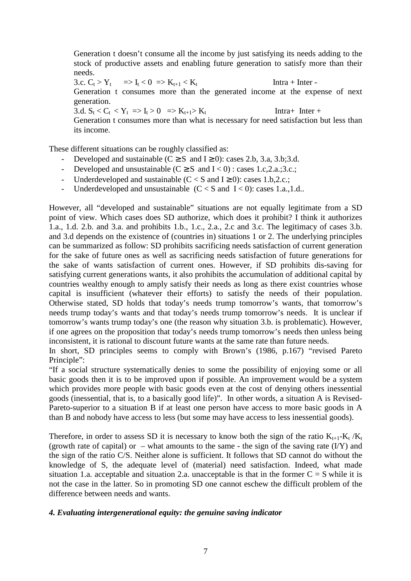Generation t doesn't consume all the income by just satisfying its needs adding to the stock of productive assets and enabling future generation to satisfy more than their needs.

3.c.  $C_t > Y_t$  =>  $I_t < 0$  =>  $K_{t+1} < K_t$  Intra + Inter - Generation t consumes more than the generated income at the expense of next generation. 3.d.  $S_t < C_t < Y_t \implies I_t > 0 \implies K_{t+1} > K_t$ Intra+ Inter +

Generation t consumes more than what is necessary for need satisfaction but less than its income.

These different situations can be roughly classified as:

- Developed and sustainable ( $C \ge S$  and  $I \ge 0$ ): cases 2.b, 3.a, 3.b;3.d.
- Developed and unsustainable  $(C \ge S \text{ and } I < 0)$ : cases 1.c, 2.a.; 3.c.;
- Underdeveloped and sustainable  $(C < S$  and  $I \ge 0)$ : cases 1.b, 2.c.;
- Underdeveloped and unsustainable  $(C < S$  and  $I < 0$ ): cases 1.a., 1.d..

However, all "developed and sustainable" situations are not equally legitimate from a SD point of view. Which cases does SD authorize, which does it prohibit? I think it authorizes 1.a., 1.d. 2.b. and 3.a. and prohibits 1.b., 1.c., 2.a., 2.c and 3.c. The legitimacy of cases 3.b. and 3.d depends on the existence of (countries in) situations 1 or 2. The underlying principles can be summarized as follow: SD prohibits sacrificing needs satisfaction of current generation for the sake of future ones as well as sacrificing needs satisfaction of future generations for the sake of wants satisfaction of current ones. However, if SD prohibits dis-saving for satisfying current generations wants, it also prohibits the accumulation of additional capital by countries wealthy enough to amply satisfy their needs as long as there exist countries whose capital is insufficient (whatever their efforts) to satisfy the needs of their population. Otherwise stated, SD holds that today's needs trump tomorrow's wants, that tomorrow's needs trump today's wants and that today's needs trump tomorrow's needs. It is unclear if tomorrow's wants trump today's one (the reason why situation 3.b. is problematic). However, if one agrees on the proposition that today's needs trump tomorrow's needs then unless being inconsistent, it is rational to discount future wants at the same rate than future needs.

In short, SD principles seems to comply with Brown's (1986, p.167) "revised Pareto Principle":

"If a social structure systematically denies to some the possibility of enjoying some or all basic goods then it is to be improved upon if possible. An improvement would be a system which provides more people with basic goods even at the cost of denying others inessential goods (inessential, that is, to a basically good life)". In other words, a situation A is Revised-Pareto-superior to a situation B if at least one person have access to more basic goods in A than B and nobody have access to less (but some may have access to less inessential goods).

Therefore, in order to assess SD it is necessary to know both the sign of the ratio  $K_{t+1}$ - $K_t$  / $K_t$ (growth rate of capital) or – what amounts to the same - the sign of the saving rate  $(VY)$  and the sign of the ratio C/S. Neither alone is sufficient. It follows that SD cannot do without the knowledge of S, the adequate level of (material) need satisfaction. Indeed, what made situation 1.a. acceptable and situation 2.a. unacceptable is that in the former  $C = S$  while it is not the case in the latter. So in promoting SD one cannot eschew the difficult problem of the difference between needs and wants.

### *4. Evaluating intergenerational equity: the genuine saving indicator*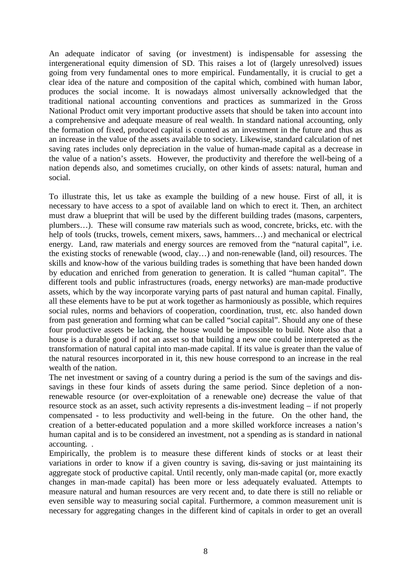An adequate indicator of saving (or investment) is indispensable for assessing the intergenerational equity dimension of SD. This raises a lot of (largely unresolved) issues going from very fundamental ones to more empirical. Fundamentally, it is crucial to get a clear idea of the nature and composition of the capital which, combined with human labor, produces the social income. It is nowadays almost universally acknowledged that the traditional national accounting conventions and practices as summarized in the Gross National Product omit very important productive assets that should be taken into account into a comprehensive and adequate measure of real wealth. In standard national accounting, only the formation of fixed, produced capital is counted as an investment in the future and thus as an increase in the value of the assets available to society. Likewise, standard calculation of net saving rates includes only depreciation in the value of human-made capital as a decrease in the value of a nation's assets. However, the productivity and therefore the well-being of a nation depends also, and sometimes crucially, on other kinds of assets: natural, human and social.

To illustrate this, let us take as example the building of a new house. First of all, it is necessary to have access to a spot of available land on which to erect it. Then, an architect must draw a blueprint that will be used by the different building trades (masons, carpenters, plumbers…). These will consume raw materials such as wood, concrete, bricks, etc. with the help of tools (trucks, trowels, cement mixers, saws, hammers…) and mechanical or electrical energy. Land, raw materials and energy sources are removed from the "natural capital", i.e. the existing stocks of renewable (wood, clay…) and non-renewable (land, oil) resources. The skills and know-how of the various building trades is something that have been handed down by education and enriched from generation to generation. It is called "human capital". The different tools and public infrastructures (roads, energy networks) are man-made productive assets, which by the way incorporate varying parts of past natural and human capital. Finally, all these elements have to be put at work together as harmoniously as possible, which requires social rules, norms and behaviors of cooperation, coordination, trust, etc. also handed down from past generation and forming what can be called "social capital". Should any one of these four productive assets be lacking, the house would be impossible to build. Note also that a house is a durable good if not an asset so that building a new one could be interpreted as the transformation of natural capital into man-made capital. If its value is greater than the value of the natural resources incorporated in it, this new house correspond to an increase in the real wealth of the nation.

The net investment or saving of a country during a period is the sum of the savings and dissavings in these four kinds of assets during the same period. Since depletion of a nonrenewable resource (or over-exploitation of a renewable one) decrease the value of that resource stock as an asset, such activity represents a dis-investment leading – if not properly compensated - to less productivity and well-being in the future. On the other hand, the creation of a better-educated population and a more skilled workforce increases a nation's human capital and is to be considered an investment, not a spending as is standard in national accounting. .

Empirically, the problem is to measure these different kinds of stocks or at least their variations in order to know if a given country is saving, dis-saving or just maintaining its aggregate stock of productive capital. Until recently, only man-made capital (or, more exactly changes in man-made capital) has been more or less adequately evaluated. Attempts to measure natural and human resources are very recent and, to date there is still no reliable or even sensible way to measuring social capital. Furthermore, a common measurement unit is necessary for aggregating changes in the different kind of capitals in order to get an overall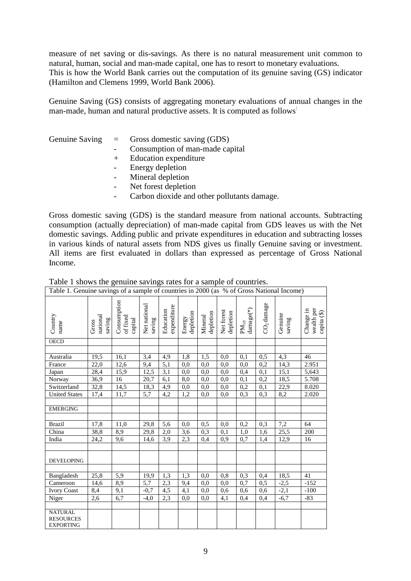measure of net saving or dis-savings. As there is no natural measurement unit common to natural, human, social and man-made capital, one has to resort to monetary evaluations. This is how the World Bank carries out the computation of its genuine saving (GS) indicator (Hamilton and Clemens 1999, World Bank 2006).

Genuine Saving (GS) consists of aggregating monetary evaluations of annual changes in the man-made, human and natural productive assets. It is computed as follows:

|     | Genuine Saving $=$ Gross domestic saving $(GDS)$ |
|-----|--------------------------------------------------|
|     | Consumption of man-made capital                  |
| $+$ | Education expenditure                            |
|     | Energy depletion                                 |
|     | Mineral depletion                                |
|     | Net forest depletion                             |

- Carbon dioxide and other pollutants damage.

Gross domestic saving (GDS) is the standard measure from national accounts. Subtracting consumption (actually depreciation) of man-made capital from GDS leaves us with the Net domestic savings. Adding public and private expenditures in education and subtracting losses in various kinds of natural assets from NDS gives us finally Genuine saving or investment. All items are first evaluated in dollars than expressed as percentage of Gross National Income.

| Table 1. Genuine savings of a sample of countries in 2000 (as % of Gross National Income) |                             |                                    |                        |                          |                     |                      |                         |                                             |                  |                   |                                        |
|-------------------------------------------------------------------------------------------|-----------------------------|------------------------------------|------------------------|--------------------------|---------------------|----------------------|-------------------------|---------------------------------------------|------------------|-------------------|----------------------------------------|
| Country<br>name                                                                           | national<br>saving<br>Gross | Consumption<br>of fixed<br>capital | Net national<br>saving | expenditure<br>Education | depletion<br>Energy | depletion<br>Mineral | Net forest<br>depletion | damage <sup>(*)</sup><br>$\mathrm{PM}_{10}$ | $CO2$ damage     | Genuine<br>saving | wealth per<br>Change in<br>capita (\$) |
| <b>OECD</b>                                                                               |                             |                                    |                        |                          |                     |                      |                         |                                             |                  |                   |                                        |
|                                                                                           |                             |                                    |                        |                          |                     |                      |                         |                                             |                  |                   |                                        |
| Australia                                                                                 | 19,5                        | 16,1                               | 3,4                    | 4,9                      | 1,8                 | 1,5                  | 0,0                     | 0,1                                         | 0,5              | 4,3               | 46                                     |
| France                                                                                    | 22,0                        | 12,6                               | 9,4                    | 5,1                      | 0,0                 | 0,0                  | 0,0                     | 0,0                                         | 0,2              | 14,3              | 2.951                                  |
| Japan                                                                                     | 28,4                        | 15,9                               | 12,5                   | 3,1                      | 0,0                 | 0,0                  | 0,0                     | 0,4                                         | 0,1              | 15,1              | 5,643                                  |
| Norway                                                                                    | 36,9                        | 16                                 | 20,7                   | 6,1                      | 8,0                 | 0,0                  | 0,0                     | 0,1                                         | 0,2              | 18,5              | 5.708                                  |
| Switzerland                                                                               | 32,8                        | 14,5                               | 18,3                   | 4,9                      | 0,0                 | 0,0                  | 0,0                     | 0,2                                         | $\overline{0,1}$ | 22,9              | 8.020                                  |
| <b>United States</b>                                                                      | 17,4                        | 11,7                               | 5,7                    | 4,2                      | 1,2                 | 0,0                  | 0.0                     | 0,3                                         | 0,3              | 8,2               | 2.020                                  |
|                                                                                           |                             |                                    |                        |                          |                     |                      |                         |                                             |                  |                   |                                        |
| <b>EMERGING</b>                                                                           |                             |                                    |                        |                          |                     |                      |                         |                                             |                  |                   |                                        |
|                                                                                           |                             |                                    |                        |                          |                     |                      |                         |                                             |                  |                   |                                        |
| <b>Brazil</b>                                                                             | 17,8                        | 11,0                               | 29,8                   | 5,6                      | 0,0                 | 0,5                  | 0,0                     | 0,2                                         | 0,3              | 7,2               | 64                                     |
| China                                                                                     | 38,8                        | 8,9                                | 29,8                   | 2,0                      | 3,6                 | 0,3                  | 0,1                     | 1,0                                         | 1,6              | 25,5              | 200                                    |
| India                                                                                     | $\overline{2}4,2$           | $\overline{9,6}$                   | 14,6                   | 3,9                      | 2,3                 | 0,4                  | $\overline{0,9}$        | 0,7                                         | 1,4              | 12,9              | 16                                     |
|                                                                                           |                             |                                    |                        |                          |                     |                      |                         |                                             |                  |                   |                                        |
| <b>DEVELOPING</b>                                                                         |                             |                                    |                        |                          |                     |                      |                         |                                             |                  |                   |                                        |
|                                                                                           |                             |                                    |                        |                          |                     |                      |                         |                                             |                  |                   |                                        |
| Bangladesh                                                                                | 25,8                        | 5,9                                | 19,9                   | 1,3                      | 1,3                 | 0,0                  | 0,8                     | 0,3                                         | 0,4              | 18,5              | 41                                     |
| Cameroon                                                                                  | 14,6                        | 8,9                                | 5,7                    | 2,3                      | 9,4                 | 0,0                  | 0,0                     | 0,7                                         | 0,5              | $-2,5$            | $-152$                                 |
| <b>Ivory Coast</b>                                                                        | 8,4                         | 9,1                                | $-0,7$                 | $\overline{4,5}$         | $\overline{4,1}$    | 0,0                  | 0,6                     | 0,6                                         | 0,6              | $-2,1$            | $-100$                                 |
| Niger                                                                                     | 2,6                         | 6,7                                | $-4,0$                 | 2,3                      | 0,0                 | 0,0                  | 4,1                     | 0,4                                         | 0,4              | $-6,7$            | $-83$                                  |
|                                                                                           |                             |                                    |                        |                          |                     |                      |                         |                                             |                  |                   |                                        |
| <b>NATURAL</b><br><b>RESOURCES</b><br><b>EXPORTING</b>                                    |                             |                                    |                        |                          |                     |                      |                         |                                             |                  |                   |                                        |

Table 1 shows the genuine savings rates for a sample of countries.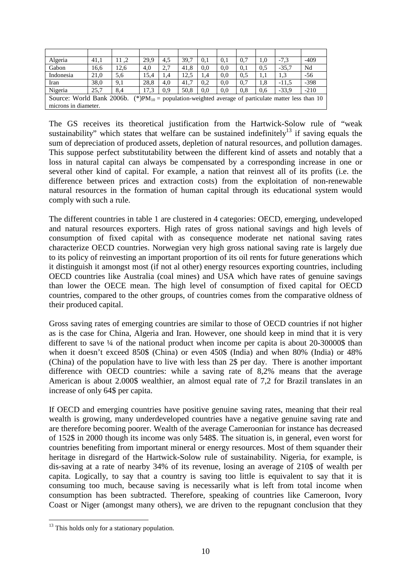| Algeria                                                                                                     | 41,1 | 11,2 | 29.9 | 4,5 | 39.7 | 0.1 | 0.1 | 0.7 | 1,0 | $-7.3$  | $-409$ |
|-------------------------------------------------------------------------------------------------------------|------|------|------|-----|------|-----|-----|-----|-----|---------|--------|
| Gabon                                                                                                       | 16,6 | 12.6 | 4.0  | 2.7 | 41.8 | 0.0 | 0.0 | 0.1 | 0.5 | $-35.7$ | Nd     |
| Indonesia                                                                                                   | 21,0 | 5,6  | 15.4 | 1.4 | 12.5 | 1.4 | 0.0 | 0.5 | 1,1 | 1,3     | $-56$  |
| Iran                                                                                                        | 38.0 | 9,1  | 28.8 | 4,0 | 41.7 | 0.2 | 0.0 | 0.7 | 1.8 | $-11.5$ | $-398$ |
| Nigeria                                                                                                     | 25.7 | 8.4  | 17.3 | 0.9 | 50.8 | 0.0 | 0.0 | 0.8 | 0.6 | $-33.9$ | $-210$ |
| Source: World Bank 2006b.<br>(*) $PM_{10}$ = population-weighted average of particulate matter less than 10 |      |      |      |     |      |     |     |     |     |         |        |
| microns in diameter.                                                                                        |      |      |      |     |      |     |     |     |     |         |        |

The GS receives its theoretical justification from the Hartwick-Solow rule of "weak sustainability" which states that welfare can be sustained indefinitely<sup>13</sup> if saving equals the sum of depreciation of produced assets, depletion of natural resources, and pollution damages. This suppose perfect substitutability between the different kind of assets and notably that a loss in natural capital can always be compensated by a corresponding increase in one or several other kind of capital. For example, a nation that reinvest all of its profits (i.e. the difference between prices and extraction costs) from the exploitation of non-renewable natural resources in the formation of human capital through its educational system would comply with such a rule.

The different countries in table 1 are clustered in 4 categories: OECD, emerging, undeveloped and natural resources exporters. High rates of gross national savings and high levels of consumption of fixed capital with as consequence moderate net national saving rates characterize OECD countries. Norwegian very high gross national saving rate is largely due to its policy of reinvesting an important proportion of its oil rents for future generations which it distinguish it amongst most (if not al other) energy resources exporting countries, including OECD countries like Australia (coal mines) and USA which have rates of genuine savings than lower the OECE mean. The high level of consumption of fixed capital for OECD countries, compared to the other groups, of countries comes from the comparative oldness of their produced capital.

Gross saving rates of emerging countries are similar to those of OECD countries if not higher as is the case for China, Algeria and Iran. However, one should keep in mind that it is very different to save ¼ of the national product when income per capita is about 20-30000\$ than when it doesn't exceed 850\$ (China) or even 450\$ (India) and when 80% (India) or 48% (China) of the population have to live with less than 2\$ per day. There is another important difference with OECD countries: while a saving rate of 8,2% means that the average American is about 2.000\$ wealthier, an almost equal rate of 7,2 for Brazil translates in an increase of only 64\$ per capita.

If OECD and emerging countries have positive genuine saving rates, meaning that their real wealth is growing, many underdeveloped countries have a negative genuine saving rate and are therefore becoming poorer. Wealth of the average Cameroonian for instance has decreased of 152\$ in 2000 though its income was only 548\$. The situation is, in general, even worst for countries benefiting from important mineral or energy resources. Most of them squander their heritage in disregard of the Hartwick-Solow rule of sustainability. Nigeria, for example, is dis-saving at a rate of nearby 34% of its revenue, losing an average of 210\$ of wealth per capita. Logically, to say that a country is saving too little is equivalent to say that it is consuming too much, because saving is necessarily what is left from total income when consumption has been subtracted. Therefore, speaking of countries like Cameroon, Ivory Coast or Niger (amongst many others), we are driven to the repugnant conclusion that they

 $13$  This holds only for a stationary population.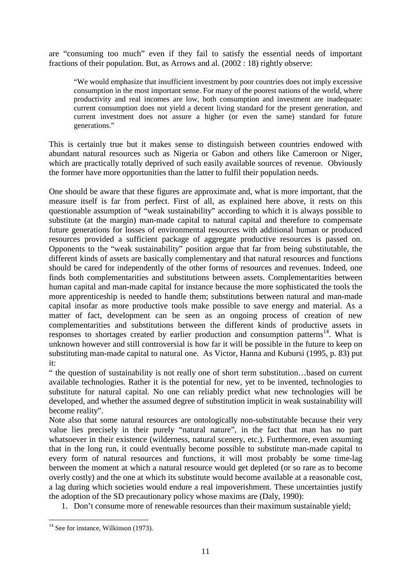are "consuming too much" even if they fail to satisfy the essential needs of important fractions of their population. But, as Arrows and al. (2002 : 18) rightly observe:

"We would emphasize that insufficient investment by poor countries does not imply excessive consumption in the most important sense. For many of the poorest nations of the world, where productivity and real incomes are low, both consumption and investment are inadequate: current consumption does not yield a decent living standard for the present generation, and current investment does not assure a higher (or even the same) standard for future generations."

This is certainly true but it makes sense to distinguish between countries endowed with abundant natural resources such as Nigeria or Gabon and others like Cameroon or Niger, which are practically totally deprived of such easily available sources of revenue. Obviously the former have more opportunities than the latter to fulfil their population needs.

One should be aware that these figures are approximate and, what is more important, that the measure itself is far from perfect. First of all, as explained here above, it rests on this questionable assumption of "weak sustainability" according to which it is always possible to substitute (at the margin) man-made capital to natural capital and therefore to compensate future generations for losses of environmental resources with additional human or produced resources provided a sufficient package of aggregate productive resources is passed on. Opponents to the "weak sustainability" position argue that far from being substitutable, the different kinds of assets are basically complementary and that natural resources and functions should be cared for independently of the other forms of resources and revenues. Indeed, one finds both complementarities and substitutions between assets. Complementarities between human capital and man-made capital for instance because the more sophisticated the tools the more apprenticeship is needed to handle them; substitutions between natural and man-made capital insofar as more productive tools make possible to save energy and material. As a matter of fact, development can be seen as an ongoing process of creation of new complementarities and substitutions between the different kinds of productive assets in responses to shortages created by earlier production and consumption patterns<sup>14</sup>. What is unknown however and still controversial is how far it will be possible in the future to keep on substituting man-made capital to natural one. As Victor, Hanna and Kubursi (1995, p. 83) put it:

" the question of sustainability is not really one of short term substitution…based on current available technologies. Rather it is the potential for new, yet to be invented, technologies to substitute for natural capital. No one can reliably predict what new technologies will be developed, and whether the assumed degree of substitution implicit in weak sustainability will become reality".

Note also that some natural resources are ontologically non-substitutable because their very value lies precisely in their purely "natural nature", in the fact that man has no part whatsoever in their existence (wilderness, natural scenery, etc.). Furthermore, even assuming that in the long run, it could eventually become possible to substitute man-made capital to every form of natural resources and functions, it will most probably be some time-lag between the moment at which a natural resource would get depleted (or so rare as to become overly costly) and the one at which its substitute would become available at a reasonable cost, a lag during which societies would endure a real impoverishment. These uncertainties justify the adoption of the SD precautionary policy whose maxims are (Daly, 1990):

1. Don't consume more of renewable resources than their maximum sustainable yield;

 $\overline{a}$  $14$  See for instance, Wilkinson (1973).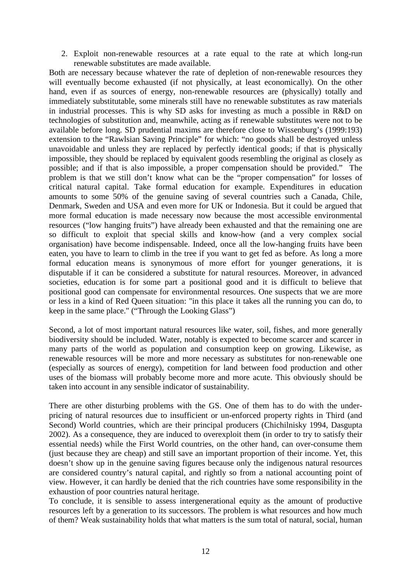2. Exploit non-renewable resources at a rate equal to the rate at which long-run renewable substitutes are made available.

Both are necessary because whatever the rate of depletion of non-renewable resources they will eventually become exhausted (if not physically, at least economically). On the other hand, even if as sources of energy, non-renewable resources are (physically) totally and immediately substitutable, some minerals still have no renewable substitutes as raw materials in industrial processes. This is why SD asks for investing as much a possible in R&D on technologies of substitution and, meanwhile, acting as if renewable substitutes were not to be available before long. SD prudential maxims are therefore close to Wissenburg's (1999:193) extension to the "Rawlsian Saving Principle" for which: "no goods shall be destroyed unless unavoidable and unless they are replaced by perfectly identical goods; if that is physically impossible, they should be replaced by equivalent goods resembling the original as closely as possible; and if that is also impossible, a proper compensation should be provided." The problem is that we still don't know what can be the "proper compensation" for losses of critical natural capital. Take formal education for example. Expenditures in education amounts to some 50% of the genuine saving of several countries such a Canada, Chile, Denmark, Sweden and USA and even more for UK or Indonesia. But it could be argued that more formal education is made necessary now because the most accessible environmental resources ("low hanging fruits") have already been exhausted and that the remaining one are so difficult to exploit that special skills and know-how (and a very complex social organisation) have become indispensable. Indeed, once all the low-hanging fruits have been eaten, you have to learn to climb in the tree if you want to get fed as before. As long a more formal education means is synonymous of more effort for younger generations, it is disputable if it can be considered a substitute for natural resources. Moreover, in advanced societies, education is for some part a positional good and it is difficult to believe that positional good can compensate for environmental resources. One suspects that we are more or less in a kind of Red Queen situation: "in this place it takes all the running you can do, to keep in the same place." ("Through the Looking Glass")

Second, a lot of most important natural resources like water, soil, fishes, and more generally biodiversity should be included. Water, notably is expected to become scarcer and scarcer in many parts of the world as population and consumption keep on growing. Likewise, as renewable resources will be more and more necessary as substitutes for non-renewable one (especially as sources of energy), competition for land between food production and other uses of the biomass will probably become more and more acute. This obviously should be taken into account in any sensible indicator of sustainability.

There are other disturbing problems with the GS. One of them has to do with the underpricing of natural resources due to insufficient or un-enforced property rights in Third (and Second) World countries, which are their principal producers (Chichilnisky 1994, Dasgupta 2002). As a consequence, they are induced to overexploit them (in order to try to satisfy their essential needs) while the First World countries, on the other hand, can over-consume them (just because they are cheap) and still save an important proportion of their income. Yet, this doesn't show up in the genuine saving figures because only the indigenous natural resources are considered country's natural capital, and rightly so from a national accounting point of view. However, it can hardly be denied that the rich countries have some responsibility in the exhaustion of poor countries natural heritage.

To conclude, it is sensible to assess intergenerational equity as the amount of productive resources left by a generation to its successors. The problem is what resources and how much of them? Weak sustainability holds that what matters is the sum total of natural, social, human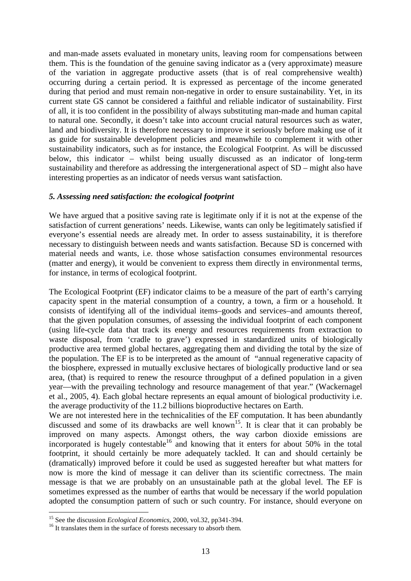and man-made assets evaluated in monetary units, leaving room for compensations between them. This is the foundation of the genuine saving indicator as a (very approximate) measure of the variation in aggregate productive assets (that is of real comprehensive wealth) occurring during a certain period. It is expressed as percentage of the income generated during that period and must remain non-negative in order to ensure sustainability. Yet, in its current state GS cannot be considered a faithful and reliable indicator of sustainability. First of all, it is too confident in the possibility of always substituting man-made and human capital to natural one. Secondly, it doesn't take into account crucial natural resources such as water, land and biodiversity. It is therefore necessary to improve it seriously before making use of it as guide for sustainable development policies and meanwhile to complement it with other sustainability indicators, such as for instance, the Ecological Footprint. As will be discussed below, this indicator – whilst being usually discussed as an indicator of long-term sustainability and therefore as addressing the intergenerational aspect of SD – might also have interesting properties as an indicator of needs versus want satisfaction.

#### *5. Assessing need satisfaction: the ecological footprint*

We have argued that a positive saving rate is legitimate only if it is not at the expense of the satisfaction of current generations' needs. Likewise, wants can only be legitimately satisfied if everyone's essential needs are already met. In order to assess sustainability, it is therefore necessary to distinguish between needs and wants satisfaction. Because SD is concerned with material needs and wants, i.e. those whose satisfaction consumes environmental resources (matter and energy), it would be convenient to express them directly in environmental terms, for instance, in terms of ecological footprint.

The Ecological Footprint (EF) indicator claims to be a measure of the part of earth's carrying capacity spent in the material consumption of a country, a town, a firm or a household. It consists of identifying all of the individual items–goods and services–and amounts thereof, that the given population consumes, of assessing the individual footprint of each component (using life-cycle data that track its energy and resources requirements from extraction to waste disposal, from 'cradle to grave') expressed in standardized units of biologically productive area termed global hectares, aggregating them and dividing the total by the size of the population. The EF is to be interpreted as the amount of "annual regenerative capacity of the biosphere, expressed in mutually exclusive hectares of biologically productive land or sea area, (that) is required to renew the resource throughput of a defined population in a given year—with the prevailing technology and resource management of that year." (Wackernagel et al., 2005, 4). Each global hectare represents an equal amount of biological productivity i.e. the average productivity of the 11.2 billions bioproductive hectares on Earth.

We are not interested here in the technicalities of the EF computation. It has been abundantly discussed and some of its drawbacks are well known<sup>15</sup>. It is clear that it can probably be improved on many aspects. Amongst others, the way carbon dioxide emissions are incorporated is hugely contestable<sup>16</sup> and knowing that it enters for about 50% in the total footprint, it should certainly be more adequately tackled. It can and should certainly be (dramatically) improved before it could be used as suggested hereafter but what matters for now is more the kind of message it can deliver than its scientific correctness. The main message is that we are probably on an unsustainable path at the global level. The EF is sometimes expressed as the number of earths that would be necessary if the world population adopted the consumption pattern of such or such country. For instance, should everyone on

<sup>15</sup> See the discussion *Ecological Economics*, 2000, vol.32, pp341-394.

<sup>&</sup>lt;sup>16</sup> It translates them in the surface of forests necessary to absorb them.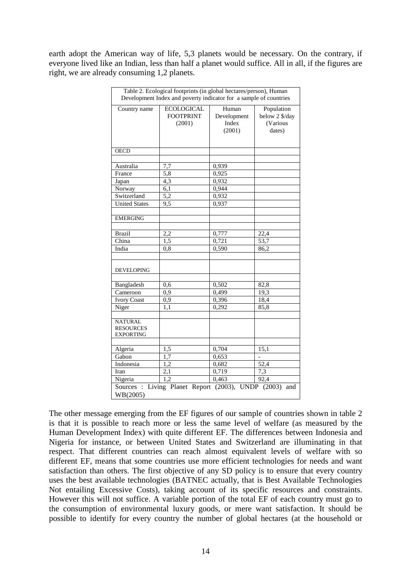earth adopt the American way of life, 5,3 planets would be necessary. On the contrary, if everyone lived like an Indian, less than half a planet would suffice. All in all, if the figures are right, we are already consuming 1,2 planets.

| Table 2. Ecological footprints (in global hectares/person), Human<br>Development Index and poverty indicator for a sample of countries |                                                    |                                         |                                                    |  |  |  |  |
|----------------------------------------------------------------------------------------------------------------------------------------|----------------------------------------------------|-----------------------------------------|----------------------------------------------------|--|--|--|--|
| Country name                                                                                                                           | <b>ECOLOGICAL</b><br><b>FOOTPRINT</b><br>(2001)    | Human<br>Development<br>Index<br>(2001) | Population<br>below 2 \$/day<br>(Various<br>dates) |  |  |  |  |
| <b>OECD</b>                                                                                                                            |                                                    |                                         |                                                    |  |  |  |  |
| Australia                                                                                                                              | 7,7                                                | 0,939                                   |                                                    |  |  |  |  |
| France                                                                                                                                 | 5,8                                                | 0,925                                   |                                                    |  |  |  |  |
| Japan                                                                                                                                  | 4,3                                                | 0,932                                   |                                                    |  |  |  |  |
| Norway                                                                                                                                 | 6,1                                                | 0,944                                   |                                                    |  |  |  |  |
| Switzerland                                                                                                                            | $\overline{5,2}$                                   | 0,932                                   |                                                    |  |  |  |  |
| <b>United States</b>                                                                                                                   | 9,5                                                | 0,937                                   |                                                    |  |  |  |  |
| <b>EMERGING</b>                                                                                                                        |                                                    |                                         |                                                    |  |  |  |  |
| <b>Brazil</b>                                                                                                                          | 2,2                                                | 0,777                                   | 22,4                                               |  |  |  |  |
| China                                                                                                                                  | 1,5                                                | 0,721                                   | 53,7                                               |  |  |  |  |
| India                                                                                                                                  | 0,8                                                | 0,590                                   | 86,2                                               |  |  |  |  |
| DEVELOPING                                                                                                                             |                                                    |                                         |                                                    |  |  |  |  |
| Bangladesh                                                                                                                             | 0,6                                                | 0,502                                   | 82,8                                               |  |  |  |  |
| Cameroon                                                                                                                               | 0,9                                                | 0,499                                   | 19,3                                               |  |  |  |  |
| <b>Ivory Coast</b>                                                                                                                     | 0,9                                                | 0,396                                   | 18,4                                               |  |  |  |  |
| Niger                                                                                                                                  | 1,1                                                | 0,292                                   | 85,8                                               |  |  |  |  |
| <b>NATURAL</b><br><b>RESOURCES</b><br><b>EXPORTING</b>                                                                                 |                                                    |                                         |                                                    |  |  |  |  |
| Algeria                                                                                                                                | 1,5                                                | 0,704                                   | 15,1                                               |  |  |  |  |
| Gabon                                                                                                                                  | $\overline{1,7}$                                   | 0,653                                   |                                                    |  |  |  |  |
| Indonesia                                                                                                                              | 1,2                                                | 0,682                                   | 52,4                                               |  |  |  |  |
| Iran                                                                                                                                   | 2,1                                                | 0,719                                   | 7,3                                                |  |  |  |  |
| Nigeria                                                                                                                                | $\overline{1,2}$                                   | 0,463                                   | 92,4                                               |  |  |  |  |
| WB(2005)                                                                                                                               | Sources : Living Planet Report (2003), UNDP (2003) |                                         | and                                                |  |  |  |  |

The other message emerging from the EF figures of our sample of countries shown in table 2 is that it is possible to reach more or less the same level of welfare (as measured by the Human Development Index) with quite different EF. The differences between Indonesia and Nigeria for instance, or between United States and Switzerland are illuminating in that respect. That different countries can reach almost equivalent levels of welfare with so different EF, means that some countries use more efficient technologies for needs and want satisfaction than others. The first objective of any SD policy is to ensure that every country uses the best available technologies (BATNEC actually, that is Best Available Technologies Not entailing Excessive Costs), taking account of its specific resources and constraints. However this will not suffice. A variable portion of the total EF of each country must go to the consumption of environmental luxury goods, or mere want satisfaction. It should be possible to identify for every country the number of global hectares (at the household or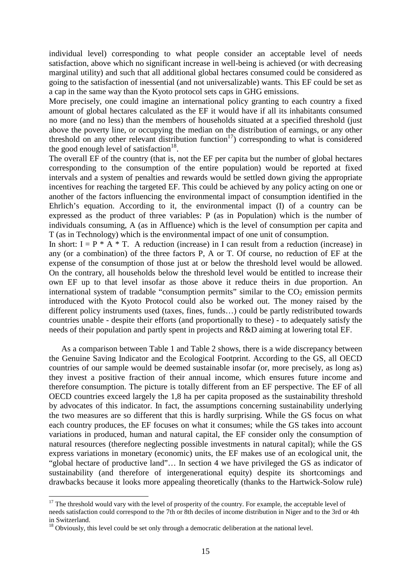individual level) corresponding to what people consider an acceptable level of needs satisfaction, above which no significant increase in well-being is achieved (or with decreasing marginal utility) and such that all additional global hectares consumed could be considered as going to the satisfaction of inessential (and not universalizable) wants. This EF could be set as a cap in the same way than the Kyoto protocol sets caps in GHG emissions.

More precisely, one could imagine an international policy granting to each country a fixed amount of global hectares calculated as the EF it would have if all its inhabitants consumed no more (and no less) than the members of households situated at a specified threshold (just above the poverty line, or occupying the median on the distribution of earnings, or any other threshold on any other relevant distribution function<sup>17</sup>) corresponding to what is considered the good enough level of satisfaction<sup>18</sup>.

The overall EF of the country (that is, not the EF per capita but the number of global hectares corresponding to the consumption of the entire population) would be reported at fixed intervals and a system of penalties and rewards would be settled down giving the appropriate incentives for reaching the targeted EF. This could be achieved by any policy acting on one or another of the factors influencing the environmental impact of consumption identified in the Ehrlich's equation. According to it, the environmental impact (I) of a country can be expressed as the product of three variables: P (as in Population) which is the number of individuals consuming, A (as in Affluence) which is the level of consumption per capita and T (as in Technology) which is the environmental impact of one unit of consumption.

In short:  $I = P^* A^* T$ . A reduction (increase) in I can result from a reduction (increase) in any (or a combination) of the three factors P, A or T. Of course, no reduction of EF at the expense of the consumption of those just at or below the threshold level would be allowed. On the contrary, all households below the threshold level would be entitled to increase their own EF up to that level insofar as those above it reduce theirs in due proportion. An international system of tradable "consumption permits" similar to the  $CO<sub>2</sub>$  emission permits introduced with the Kyoto Protocol could also be worked out. The money raised by the different policy instruments used (taxes, fines, funds…) could be partly redistributed towards countries unable - despite their efforts (and proportionally to these) - to adequately satisfy the needs of their population and partly spent in projects and R&D aiming at lowering total EF.

As a comparison between Table 1 and Table 2 shows, there is a wide discrepancy between the Genuine Saving Indicator and the Ecological Footprint. According to the GS, all OECD countries of our sample would be deemed sustainable insofar (or, more precisely, as long as) they invest a positive fraction of their annual income, which ensures future income and therefore consumption. The picture is totally different from an EF perspective. The EF of all OECD countries exceed largely the 1,8 ha per capita proposed as the sustainability threshold by advocates of this indicator. In fact, the assumptions concerning sustainability underlying the two measures are so different that this is hardly surprising. While the GS focus on what each country produces, the EF focuses on what it consumes; while the GS takes into account variations in produced, human and natural capital, the EF consider only the consumption of natural resources (therefore neglecting possible investments in natural capital); while the GS express variations in monetary (economic) units, the EF makes use of an ecological unit, the "global hectare of productive land"… In section 4 we have privileged the GS as indicator of sustainability (and therefore of intergenerational equity) despite its shortcomings and drawbacks because it looks more appealing theoretically (thanks to the Hartwick-Solow rule)

 $17$  The threshold would vary with the level of prosperity of the country. For example, the acceptable level of needs satisfaction could correspond to the 7th or 8th deciles of income distribution in Niger and to the 3rd or 4th in Switzerland.

<sup>&</sup>lt;sup>18</sup> Obviously, this level could be set only through a democratic deliberation at the national level.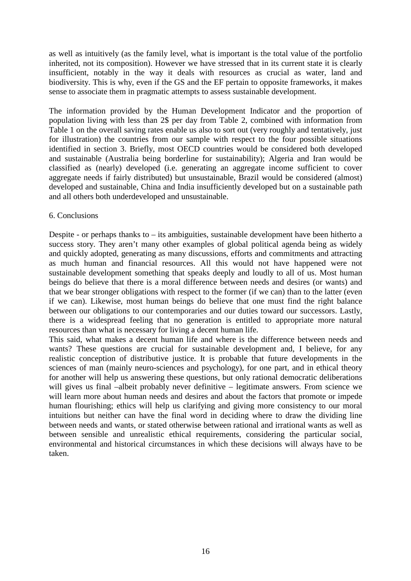as well as intuitively (as the family level, what is important is the total value of the portfolio inherited, not its composition). However we have stressed that in its current state it is clearly insufficient, notably in the way it deals with resources as crucial as water, land and biodiversity. This is why, even if the GS and the EF pertain to opposite frameworks, it makes sense to associate them in pragmatic attempts to assess sustainable development.

The information provided by the Human Development Indicator and the proportion of population living with less than 2\$ per day from Table 2, combined with information from Table 1 on the overall saving rates enable us also to sort out (very roughly and tentatively, just for illustration) the countries from our sample with respect to the four possible situations identified in section 3. Briefly, most OECD countries would be considered both developed and sustainable (Australia being borderline for sustainability); Algeria and Iran would be classified as (nearly) developed (i.e. generating an aggregate income sufficient to cover aggregate needs if fairly distributed) but unsustainable, Brazil would be considered (almost) developed and sustainable, China and India insufficiently developed but on a sustainable path and all others both underdeveloped and unsustainable.

### 6. Conclusions

Despite - or perhaps thanks to – its ambiguities, sustainable development have been hitherto a success story. They aren't many other examples of global political agenda being as widely and quickly adopted, generating as many discussions, efforts and commitments and attracting as much human and financial resources. All this would not have happened were not sustainable development something that speaks deeply and loudly to all of us. Most human beings do believe that there is a moral difference between needs and desires (or wants) and that we bear stronger obligations with respect to the former (if we can) than to the latter (even if we can). Likewise, most human beings do believe that one must find the right balance between our obligations to our contemporaries and our duties toward our successors. Lastly, there is a widespread feeling that no generation is entitled to appropriate more natural resources than what is necessary for living a decent human life.

This said, what makes a decent human life and where is the difference between needs and wants? These questions are crucial for sustainable development and, I believe, for any realistic conception of distributive justice. It is probable that future developments in the sciences of man (mainly neuro-sciences and psychology), for one part, and in ethical theory for another will help us answering these questions, but only rational democratic deliberations will gives us final –albeit probably never definitive – legitimate answers. From science we will learn more about human needs and desires and about the factors that promote or impede human flourishing; ethics will help us clarifying and giving more consistency to our moral intuitions but neither can have the final word in deciding where to draw the dividing line between needs and wants, or stated otherwise between rational and irrational wants as well as between sensible and unrealistic ethical requirements, considering the particular social, environmental and historical circumstances in which these decisions will always have to be taken.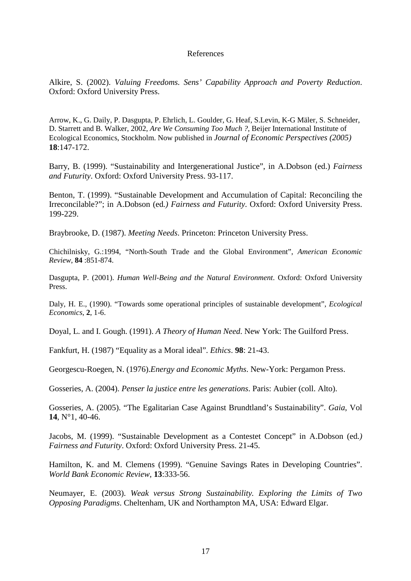#### References

Alkire, S. (2002). *Valuing Freedoms. Sens' Capability Approach and Poverty Reduction*. Oxford: Oxford University Press.

Arrow, K., G. Daily, P. Dasgupta, P. Ehrlich, L. Goulder, G. Heaf, S.Levin, K-G Mäler, S. Schneider, D. Starrett and B. Walker, 2002, *Are We Consuming Too Much ?*, Beijer International Institute of Ecological Economics, Stockholm. Now published in *Journal of Economic Perspectives (2005)*  **18**:147-172.

Barry, B. (1999). "Sustainability and Intergenerational Justice", in A.Dobson (ed.) *Fairness and Futurity*. Oxford: Oxford University Press. 93-117.

Benton, T. (1999). "Sustainable Development and Accumulation of Capital: Reconciling the Irreconcilable?"; in A.Dobson (ed*.) Fairness and Futurity*. Oxford: Oxford University Press. 199-229.

Braybrooke, D. (1987). *Meeting Needs*. Princeton: Princeton University Press.

Chichilnisky, G.:1994, "North-South Trade and the Global Environment", *American Economic Review*, **84** :851-874.

Dasgupta, P. (2001). *Human Well-Being and the Natural Environment*. Oxford: Oxford University Press.

Daly, H. E., (1990). "Towards some operational principles of sustainable development", *Ecological Economics*, **2**, 1-6.

Doyal, L. and I. Gough. (1991). *A Theory of Human Need*. New York: The Guilford Press.

Fankfurt, H. (1987) "Equality as a Moral ideal". *Ethics*. **98**: 21-43.

Georgescu-Roegen, N. (1976).*Energy and Economic Myths*. New-York: Pergamon Press.

Gosseries, A. (2004). *Penser la justice entre les generations*. Paris: Aubier (coll. Alto).

Gosseries, A. (2005). "The Egalitarian Case Against Brundtland's Sustainability". *Gaia*, Vol **14**, N°1, 40-46.

Jacobs, M. (1999). "Sustainable Development as a Contestet Concept" in A.Dobson (ed*.) Fairness and Futurity*. Oxford: Oxford University Press. 21-45.

Hamilton, K. and M. Clemens (1999). "Genuine Savings Rates in Developing Countries". *World Bank Economic Review*, **13**:333-56.

Neumayer, E. (2003). *Weak versus Strong Sustainability. Exploring the Limits of Two Opposing Paradigms*. Cheltenham, UK and Northampton MA, USA: Edward Elgar.